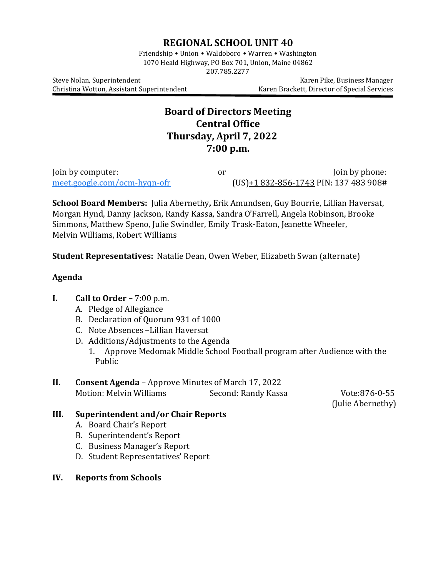# **REGIONAL SCHOOL UNIT 40**

Friendship • Union • Waldoboro • Warren • Washington 1070 Heald Highway, PO Box 701, Union, Maine 04862 207.785.2277

Christina Wotton, Assistant Superintendent

Steve Nolan, Superintendent<br>Christina Wotton, Assistant Superintendent Karen Brackett, Director of Special Services

# **Board of Directors Meeting Central Office Thursday, April 7, 2022 7:00 p.m.**

Join by computer:  $J$ oin by computer:  $J$ or  $J$ oin by phone:  $J$ oin by phone:  $J$ oin by phone:  $J$ oin by phone:  $J$ oin by phone:  $J$ oin by phone:  $J$ oin by phone:  $J$ oin by phone:  $J$ oin by phone:  $J$ oin by phone:  $J$ oin b (US)+1 [832-856-1743](tel:%E2%80%AA+1%20832-856-1743%E2%80%AC) PIN: 137 483 908#

**School Board Members:** Julia Abernethy**,** Erik Amundsen, Guy Bourrie, Lillian Haversat, Morgan Hynd, Danny Jackson, Randy Kassa, Sandra O'Farrell, Angela Robinson, Brooke Simmons, Matthew Speno, Julie Swindler, Emily Trask-Eaton, Jeanette Wheeler, Melvin Williams, Robert Williams

**Student Representatives:** Natalie Dean, Owen Weber, Elizabeth Swan (alternate)

## **Agenda**

# **I. Call to Order –** 7:00 p.m.

- A. Pledge of Allegiance
- B. Declaration of Quorum 931 of 1000
- C. Note Absences –Lillian Haversat
- D. Additions/Adjustments to the Agenda
	- 1. Approve Medomak Middle School Football program after Audience with the Public

## **II. Consent Agenda** – Approve Minutes of March 17, 2022<br>Motion: Melvin Williams Second: Randy Kassa Motion: Melvin Williams Second: Randy Kassa Vote:876-0-55

(Julie Abernethy)

# **III. Superintendent and/or Chair Reports**

- A. Board Chair's Report
- B. Superintendent's Report
- C. Business Manager's Report
- D. Student Representatives' Report
- **IV. Reports from Schools**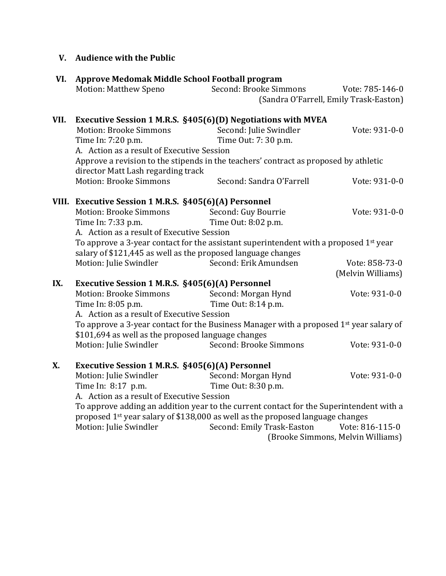# **V. Audience with the Public**

| VI.  | Approve Medomak Middle School Football program                                                                             |                            |                                                           |  |  |
|------|----------------------------------------------------------------------------------------------------------------------------|----------------------------|-----------------------------------------------------------|--|--|
|      | Motion: Matthew Speno                                                                                                      | Second: Brooke Simmons     | Vote: 785-146-0<br>(Sandra O'Farrell, Emily Trask-Easton) |  |  |
|      |                                                                                                                            |                            |                                                           |  |  |
| VII. | Executive Session 1 M.R.S. §405(6)(D) Negotiations with MVEA                                                               |                            |                                                           |  |  |
|      | Motion: Brooke Simmons                                                                                                     | Second: Julie Swindler     | Vote: 931-0-0                                             |  |  |
|      | Time In: 7:20 p.m.                                                                                                         | Time Out: 7: 30 p.m.       |                                                           |  |  |
|      | A. Action as a result of Executive Session                                                                                 |                            |                                                           |  |  |
|      | Approve a revision to the stipends in the teachers' contract as proposed by athletic<br>director Matt Lash regarding track |                            |                                                           |  |  |
|      | Motion: Brooke Simmons                                                                                                     | Second: Sandra O'Farrell   | Vote: 931-0-0                                             |  |  |
|      | VIII. Executive Session 1 M.R.S. §405(6)(A) Personnel                                                                      |                            |                                                           |  |  |
|      | Motion: Brooke Simmons                                                                                                     | Second: Guy Bourrie        | Vote: 931-0-0                                             |  |  |
|      | Time In: 7:33 p.m.                                                                                                         | Time Out: 8:02 p.m.        |                                                           |  |  |
|      | A. Action as a result of Executive Session                                                                                 |                            |                                                           |  |  |
|      | To approve a 3-year contact for the assistant superintendent with a proposed 1st year                                      |                            |                                                           |  |  |
|      | salary of \$121,445 as well as the proposed language changes                                                               |                            |                                                           |  |  |
|      | Motion: Julie Swindler                                                                                                     | Second: Erik Amundsen      | Vote: 858-73-0<br>(Melvin Williams)                       |  |  |
| IX.  | Executive Session 1 M.R.S. §405(6)(A) Personnel                                                                            |                            |                                                           |  |  |
|      | <b>Motion: Brooke Simmons</b>                                                                                              | Second: Morgan Hynd        | Vote: 931-0-0                                             |  |  |
|      | Time In: 8:05 p.m.                                                                                                         | Time Out: 8:14 p.m.        |                                                           |  |  |
|      | A. Action as a result of Executive Session                                                                                 |                            |                                                           |  |  |
|      | To approve a 3-year contact for the Business Manager with a proposed 1 <sup>st</sup> year salary of                        |                            |                                                           |  |  |
|      | \$101,694 as well as the proposed language changes                                                                         |                            |                                                           |  |  |
|      | Motion: Julie Swindler                                                                                                     | Second: Brooke Simmons     | Vote: 931-0-0                                             |  |  |
| X.   | Executive Session 1 M.R.S. §405(6)(A) Personnel                                                                            |                            |                                                           |  |  |
|      | Motion: Julie Swindler                                                                                                     | Second: Morgan Hynd        | Vote: 931-0-0                                             |  |  |
|      | Time In: 8:17 p.m.                                                                                                         | Time Out: 8:30 p.m.        |                                                           |  |  |
|      | A. Action as a result of Executive Session                                                                                 |                            |                                                           |  |  |
|      | To approve adding an addition year to the current contact for the Superintendent with a                                    |                            |                                                           |  |  |
|      | proposed 1 <sup>st</sup> year salary of \$138,000 as well as the proposed language changes                                 |                            |                                                           |  |  |
|      | Motion: Julie Swindler                                                                                                     | Second: Emily Trask-Easton | Vote: 816-115-0<br>(Brooke Simmons, Melvin Williams)      |  |  |
|      |                                                                                                                            |                            |                                                           |  |  |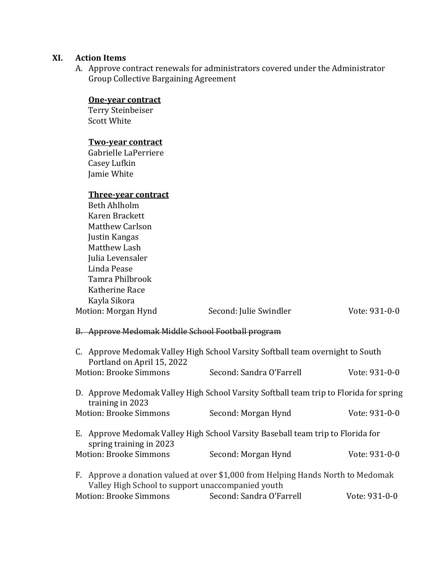## **XI. Action Items**

A. Approve contract renewals for administrators covered under the Administrator Group Collective Bargaining Agreement

#### **One-year contract**

Terry Steinbeiser Scott White

## **Two-year contract**

Gabrielle LaPerriere Casey Lufkin Jamie White

## **Three-year contract**

| Beth Ahlholm           |                        |               |
|------------------------|------------------------|---------------|
| Karen Brackett         |                        |               |
| <b>Matthew Carlson</b> |                        |               |
| Justin Kangas          |                        |               |
| Matthew Lash           |                        |               |
| Julia Levensaler       |                        |               |
| Linda Pease            |                        |               |
| Tamra Philbrook        |                        |               |
| Katherine Race         |                        |               |
| Kayla Sikora           |                        |               |
| Motion: Morgan Hynd    | Second: Julie Swindler | Vote: 931-0-0 |
|                        |                        |               |

# B. Approve Medomak Middle School Football program

| C. Approve Medomak Valley High School Varsity Softball team overnight to South<br>Portland on April 15, 2022                          |                                                                                        |               |  |  |
|---------------------------------------------------------------------------------------------------------------------------------------|----------------------------------------------------------------------------------------|---------------|--|--|
| <b>Motion: Brooke Simmons</b>                                                                                                         | Second: Sandra O'Farrell                                                               | Vote: 931-0-0 |  |  |
| training in 2023                                                                                                                      | D. Approve Medomak Valley High School Varsity Softball team trip to Florida for spring |               |  |  |
| <b>Motion: Brooke Simmons</b>                                                                                                         | Second: Morgan Hynd                                                                    | Vote: 931-0-0 |  |  |
| E. Approve Medomak Valley High School Varsity Baseball team trip to Florida for<br>spring training in 2023                            |                                                                                        |               |  |  |
| <b>Motion: Brooke Simmons</b>                                                                                                         | Second: Morgan Hynd                                                                    | Vote: 931-0-0 |  |  |
| F. Approve a donation valued at over \$1,000 from Helping Hands North to Medomak<br>Valley High School to support unaccompanied youth |                                                                                        |               |  |  |
| Motion: Brooke Simmons                                                                                                                | Second: Sandra O'Farrell                                                               | Vote: 931-0-0 |  |  |